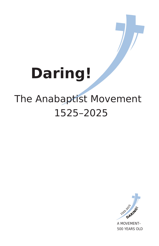# **Daring!**

### The Anabaptist Movement 1525–2025

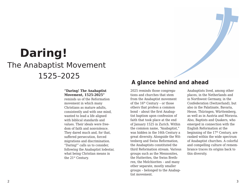## The Anabaptist Movement 1525–2025 **Daring!**

### **"Daring! The Anabaptist Movement, 1525-2025"**

reminds us of the Reformation movement in which many Christians as mature adults, consistently and with one mind, wanted to lead a life aligned with biblical standards and values. Their ideals were freedom of faith and nonviolence. They dared much and, for that, suffered persecution, forced migrations and discrimination. "Daring!" calls us to consider, following the Anabaptist lodestar, what being Christian means in the 21st Century.

### **A glance behind and ahead**

2025 reminds those congregations and churches that stem from the Anabaptist movement of the 16th Century – or those others that profess a common bond – about the first Anabaptist baptism upon confession of faith that took place at the end of January 1525 in Zurich. Within the common name, "Anabaptist," was hidden in the 16th Century a great diversity. Alongside the Wittenberg and Swiss Reformation, the Anabaptists constituted the third Reformation stream. Various groups such as the Mennonites, the Hutterites, the Swiss Brethren, the Melchiorites – and many other separate, mostly smaller groups – belonged to the Anabaptist movement.

Anabaptists lived, among other places, in the Netherlands and in Northwest Germany, in the Confederation (Switzerland), but also in the Palatinate, Bavaria, Hesse, Thüringen, Württemberg, as well as in Austria and Moravia. Also, Baptists and Quakers, who emerged in connection with the English Reformation at the beginning of the 17<sup>th</sup> Century, are ranked within the wide spectrum of Anabaptist churches. A colorful and compelling culture of remembrance traces its origins back to this diversity.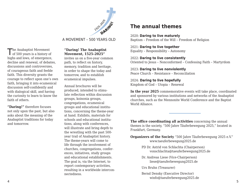

### A MOVEMENT – 500 YEARS OLD

The Anabaptist Movement<br>
of 500 years is a history of highs and lows, of emergence, decline and renewal, of debates, discussions and controversies, of courageous faith and feeble faith. This diversity grants the courage to reflect upon one's own faith, bringing it into ecumenical discussion self-confidently and with dialogical skill, and having the curiosity to learn to know the faith of others.

**"Daring!"** therefore focuses not only upon the past, but also asks about the meaning of the Anabaptist traditions for today and tomorrow.

### **"Daring! The Anabaptist Movement, 1525–2025"**

invites us on a five-year common path, to reflect on history, memory, tradition and heritage, in order to shape the today and tomorrow, and to establish ecumenical impulses.

Annual brochures will be produced, intended to stimulate reflection within discussion groups, koinonia groups, congregations, ecumenical groups and educational institutions, concerning the theme-year at hand. Exhibits, materials for schools and educational institutions, along with conferences, will illustrate and bring depth to the wrestling with the past 500 year trail of Anabaptist history. The theme-years will come to life through the involvement of churches, congregations, conferences, initiatives, study groups and educational establishments. The goal is, via the Internet, to report contemporary activities, resulting in a worldwide interconnectedness.

### **The annual themes**

2020: **Daring to live maturely** Baptism – Freedom of the Will – Freedom of Religion

2021: **Daring to live together** Equality – Responsibility – Autonomy

2022: **Daring to live consistently** Oriented to Jesus – Nonconformed – Confessing Faith – Martyrdom

2023: **Daring to live nonviolently** Peace Church – Resistance – Reconciliation

2024: **Daring to live hopefully** Kingdom of God – Utopia – Renewal

**In the year 2025** commemorative events will take place, coordinated and sponsored by various institutions and networks of the Anabaptist churches, such as the Mennonite World Conference and the Baptist World Alliance.

**The office coordinating all activities** concerning the annual themes is the society, "500 Jahre Täuferbewegung 2025," located in Frankfurt, Germany.

**Organizers of the Society** "500 Jahre Täuferbewegung 2025 e.V." www.taeuferbewegung2025.de

- PD Dr. Astrid von Schlachta (Chairperson) vonschlachta@taeuferbewegung2025.de
- Dr. Andreas Liese (Vice-Chairperson) liese@taeuferbewegung2025.de
- Urs Bruhn (Treasurer)

Bernd Densky (Executive Director) winfo@taeuferbewegung2025.de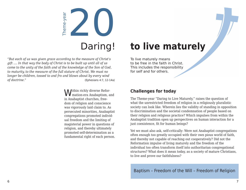

*"But each of us was given grace according to the measure of Christ's gift .... In that way the body of Christ is to be built up until all of us come to the unity of the faith and of the knowledge of the Son of God, to maturity, to the measure of the full stature of Christ. We must no longer be children, tossed to and fro and blown about by every wind*  <sup>of</sup> doctrine."<br> *Complement of us was given grace according to the measure of Christ's*<br> *gift* .... In that way the body of Christ is to be built up until all of us<br>
come to the unity of the faith and of the knowledge of

> Within richly diverse Refor- **Challenges for today** mation-era Anabaptism, and in Anabaptist churches, freedom of religion and conscience was vigorously laid claim to. As persecuted minorities, Anabaptist congregations promoted individual freedom and the limiting of magisterial power in questions of religion, and thereby ultimately promoted self-determination as a fundamental right of each person.

## Daring! **to live maturely**

To live maturely means to be free in the faith in Christ. This includes the responsibility for self and for others.

The Theme-year "Daring to Live Maturely," raises the question of what the unrestricted freedom of religion in a religiously pluralistic society can look like. Wherein lies the validity of standing in opposition to discrimination and the societal condemnation of people based on their religion and religious practice? Which impulses from within the Anabaptist tradition open up perspectives on human interaction for a just coexistence, fit for human beings?

Yet we must also ask, self-critically: Were not Anabaptist congregations often enough too greatly occupied with their own pious world of faith, and thereby not capable of reaching out cooperatively? Did not the Reformation impulse of living maturely and the freedom of the individual too often transform itself into authoritarian congregational structures? What does it mean today, as a society of mature Christians, to live and prove our faithfulness?

Baptism – Freedom of the Will – Freedom of Religion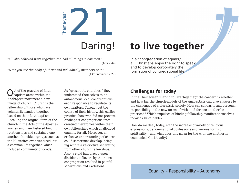

*"All who believed were together and had all things in common."*  (Acts 2:44)

*"Now you are the body of Christ and individually members of it."*  (1 Corinthians 12:27)

## Daring! **to live together**

In a "congregation of equals," all Christians enjoy the right to speak and to develop corporately the formation of congregational life.

Anabaptist movement a new image of church: Church is the fellowship of those who have voluntarily banded together, based on their faith-baptism. Recalling the original form of the church in the Acts of the Apostles, women and men fostered binding relationships and sustained one another. Individual groups such as the Hutterites even ventured into a common life together, which included community of goods.

The practice of faith-<br>  $\begin{array}{ccc} \text{Out of the practice of faith} & \text{As "grassroots-churches," they} & \text{Challenges for today} \\ \text{baptism arose within the} & \text{understood themselves to be} & \text{for the same time.} \end{array}$ As "grassroots-churches," they understood themselves to be autonomous local congregations, each responsible to regulate its own matters. Throughout the course of their history, this earlier practice, however, did not prevent Anabaptist congregations from creating hierarchies within their own fellowships which challenged equality for all. Moreover, an exclusive understanding of church could sometimes develop, bringing with it a restrictive separating from other church fellowships. Also, a rigid ban placed upon dissident believers by their own congregation resulted in painful separations and exclusions.

In the Theme-year "Daring to Live Together," the concern is whether, and how far, the church-models of the Anabaptists can give answers to the challenges of a pluralistic society. How can solidarity and personal responsibility in the new forms of with- and for-one-another be practiced? Which impulses of binding fellowship manifest themselves today as sustainable?

How do we deal, today, with the increasing variety of religious expressions, denominational confessions and various forms of spirituality – and what does this mean for the with-one-another in ecumenical Christianity?

Equality – Responsibility – Autonomy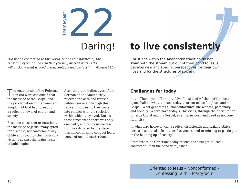

*"Do not be conformed to this world, but be transformed by the renewing of your minds, so that you may discern what is the will of God – what is good and acceptable and perfect."* (Romans 12:2)

## Daring! **to live consistently**

Christians within the Anabaptist tradition do not swim with the stream but out of their bond to Jesus develop new and specific perspectives for their own lives and for the structures of society.

The Anabaptists of the Reforma- According to the directives of the **Challenges for today** I tion era were convinced that the message of the Gospel and the proclamation of the imminent kingdom of God had to lead to a radical renewal of church and society.

Based on consistent orientation to the message of Jesus, many opted for a simple, nonconforming way of life and stood by their own convictions against the mainstream of public opinion.

According to the directives of the Sermon on the Mount, they rejected the oath and refused military service. Through this radical discipleship they came into conflict with the societies within which they lived. During those times when there was only one truth, and religious confession was dictated by the state, this nonconforming conduct led to persecution and martyrdom.

In the Theme-year "Daring to Live Consistently," the motif reflected upon shall be what it means today to orient oneself to Jesus and his Gospel. What generates a "nonconforming" life-witness, personally and socially? Where have today's Christians, through their orientation to Jesus Christ and his Gospel, risen up in word and deed as nonconformists?

In what way, however, can a radical discipleship and making ethical norms absolute also lead to exclusiveness, and to refusing to participate in the building up of society?

From where do Christians today receive the strength to lead a consistent life in the bond with Jesus?

> Oriented to Jesus – Nonconformed – Confessing Faith – Martyrdom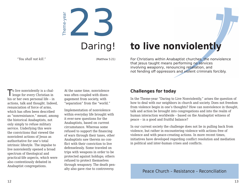

## Daring! **to live nonviolently**

For Christians within Anabaptist churches, the nonviolence that Jesus taught means performing no services involving weaponry, renouncing retaliation, and not fending off oppressors and violent criminals forcibly.

To live nonviolently is a chal-<br>At the same time, nonviolence **Challenges for today** lenge for every Christian in his or her own personal life – in actions, talk and thought. Indeed, renunciation of force of arms, which has often been described as "nonresistance," meant, among the historical Anabaptists, not only simply to refuse military service. Underlying this were the convictions that viewed the nonviolent actions of Jesus as authoritative for one's total intrinsic lifestyle. The impulse to live nonviolently opened a broad spectrum of theological and practical-life aspects, which were also contentiously debated in Anabaptist congregations.

At the same time, nonviolence was often coupled with disengagement from society, with "separation" from the "world."

Implementation of nonviolence within everyday life brought with it ever-new questions for the Anabaptists, based on current circumstance. Whereas some refused to support the financing of wars through their taxes, other Anabaptists saw therein no conflict with their conviction to live defenselessly. Some traveled on trips with weapons in order to be protected against holdups; others refused to protect themselves through weaponry. The death pen-

In the Theme-year "Daring to Live Nonviolently," arises the question of how to deal with our neighbors in church and society. Does not freedom from violence begin in one's thoughts? How can nonviolence in thought, talk and action be brought into congregations and into the realm of human interaction worldwide – based on the Anabaptist witness of peace – in a good and fruitful balance?

In our current society the challenge does not lie in pulling back from violence, but rather in encountering violence with actions free of violence and with peace-creating actions. In more recent times, initiatives have developed regarding conflict resolution and mediation in political and inter-human crises and conflicts.

alty also gave rise to controversy. Peace Church – Resistance – Reconciliation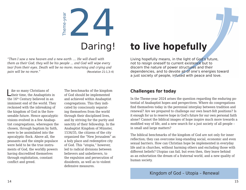

*"Then I saw a new heaven and a new earth .... He will dwell with them as their God; they will be his people ... and God will wipe every tear from their eyes. Death will be no more; mourning and crying and pain will be no more."* (Revelation 21:1,3–4)

Like so many Christians of The benchmarks of the kingdom **Challenges for today**<br>
their time, the Anabaptists in of God should be implemented<br>
the Theme was 2024 arises the 16th Century believed in an imminent end of the world. They reckoned with the inbreaking of the kingdom of God in the foreseeable future. Hence apocalyptic visions evolved in a few Anabaptist congregations, whereupon the chosen, through baptism by faith, were to be assimilated into the apocalyptic flock. Above all, the peasants and the simple populace were held to be the true instruments of God, the worldly powers having discredited themselves through exploitation, constant conflict and greed.

The benchmarks of the kingdom of God should be implemented and achieved within Anabaptist congregations. This they indicated by consciously separating themselves from the world through their disciplined lives, and by striving for the purity and sanctity of their fellowship. In the Anabaptist Kingdom of Münster, 1534/35, the citizens of the city organized the "New Jerusalem" as a holy place and redemptive city of God. This "utopia," however, led to radical divisions between believers and unbelievers, to the expulsion and persecution of dissidents, as well as to violent defensive measures.

## to live hopefully

Living hopefully means, in the light of God's future, not to resign oneself to current existence but to discern the nature of power structures and their dependencies, and to devote all of one's energies toward a just society of people, infused with peace and love.

In the Theme-year 2024 arises the question regarding the enduring potential of Anabaptist hopes and perspectives. Where do congregations find themselves today in the perennial interplay between tradition and renewal? Are we prepared to challenge our own heart-felt positions? Is it enough for us to reserve hope in God's future for our own personal faith alone? Cannot the biblical images of hope inspire much more towards a modified way of life, and a new search for a just society of all people – in small and large matters?

The biblical benchmarks of the kingdom of God are not only for inner reflection; they can overcome long-standing social, economic and even sexual barriers. How can Christian hope be implemented in everyday life and in churches, without harming others and excluding those with different beliefs? Utopias can fail, but even then, they leave behind as an exhortation the dream of a fraternal world, and a new quality of human society.